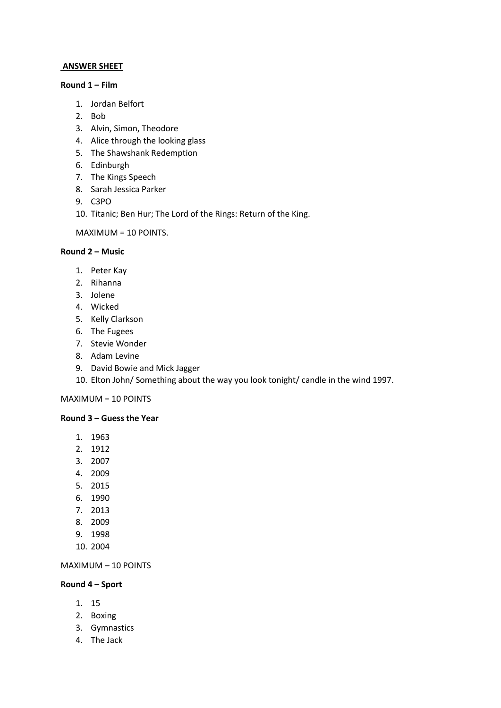### **ANSWER SHEET**

#### **Round 1 – Film**

- 1. Jordan Belfort
- 2. Bob
- 3. Alvin, Simon, Theodore
- 4. Alice through the looking glass
- 5. The Shawshank Redemption
- 6. Edinburgh
- 7. The Kings Speech
- 8. Sarah Jessica Parker
- 9. C3PO
- 10. Titanic; Ben Hur; The Lord of the Rings: Return of the King.

MAXIMUM = 10 POINTS.

### **Round 2 – Music**

- 1. Peter Kay
- 2. Rihanna
- 3. Jolene
- 4. Wicked
- 5. Kelly Clarkson
- 6. The Fugees
- 7. Stevie Wonder
- 8. Adam Levine
- 9. David Bowie and Mick Jagger
- 10. Elton John/ Something about the way you look tonight/ candle in the wind 1997.

MAXIMUM = 10 POINTS

#### **Round 3 – Guess the Year**

- 1. 1963
- 2. 1912
- 3. 2007
- 4. 2009
- 5. 2015
- 6. 1990
- 7. 2013
- 8. 2009
- 9. 1998
- 10. 2004

MAXIMUM – 10 POINTS

## **Round 4 – Sport**

- 1. 15
- 2. Boxing
- 3. Gymnastics
- 4. The Jack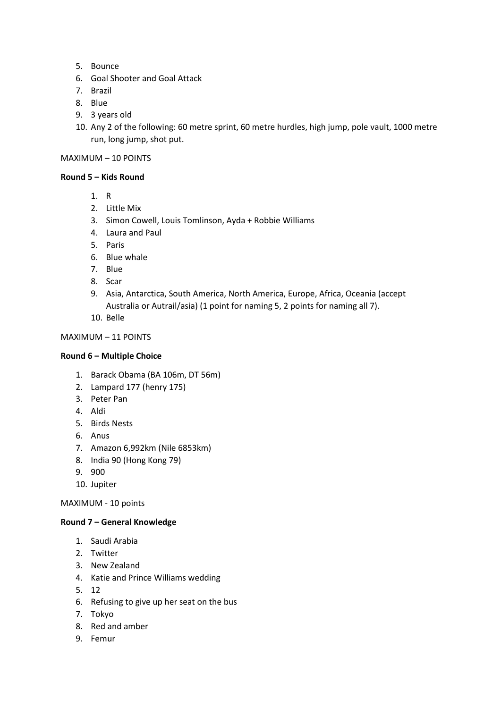- 5. Bounce
- 6. Goal Shooter and Goal Attack
- 7. Brazil
- 8. Blue
- 9. 3 years old
- 10. Any 2 of the following: 60 metre sprint, 60 metre hurdles, high jump, pole vault, 1000 metre run, long jump, shot put.

## MAXIMUM – 10 POINTS

## **Round 5 – Kids Round**

- 1. R
- 2. Little Mix
- 3. Simon Cowell, Louis Tomlinson, Ayda + Robbie Williams
- 4. Laura and Paul
- 5. Paris
- 6. Blue whale
- 7. Blue
- 8. Scar
- 9. Asia, Antarctica, South America, North America, Europe, Africa, Oceania (accept Australia or Autrail/asia) (1 point for naming 5, 2 points for naming all 7).
- 10. Belle

MAXIMUM – 11 POINTS

## **Round 6 – Multiple Choice**

- 1. Barack Obama (BA 106m, DT 56m)
- 2. Lampard 177 (henry 175)
- 3. Peter Pan
- 4. Aldi
- 5. Birds Nests
- 6. Anus
- 7. Amazon 6,992km (Nile 6853km)
- 8. India 90 (Hong Kong 79)
- 9. 900
- 10. Jupiter

MAXIMUM - 10 points

# **Round 7 – General Knowledge**

- 1. Saudi Arabia
- 2. Twitter
- 3. New Zealand
- 4. Katie and Prince Williams wedding
- 5. 12
- 6. Refusing to give up her seat on the bus
- 7. Tokyo
- 8. Red and amber
- 9. Femur